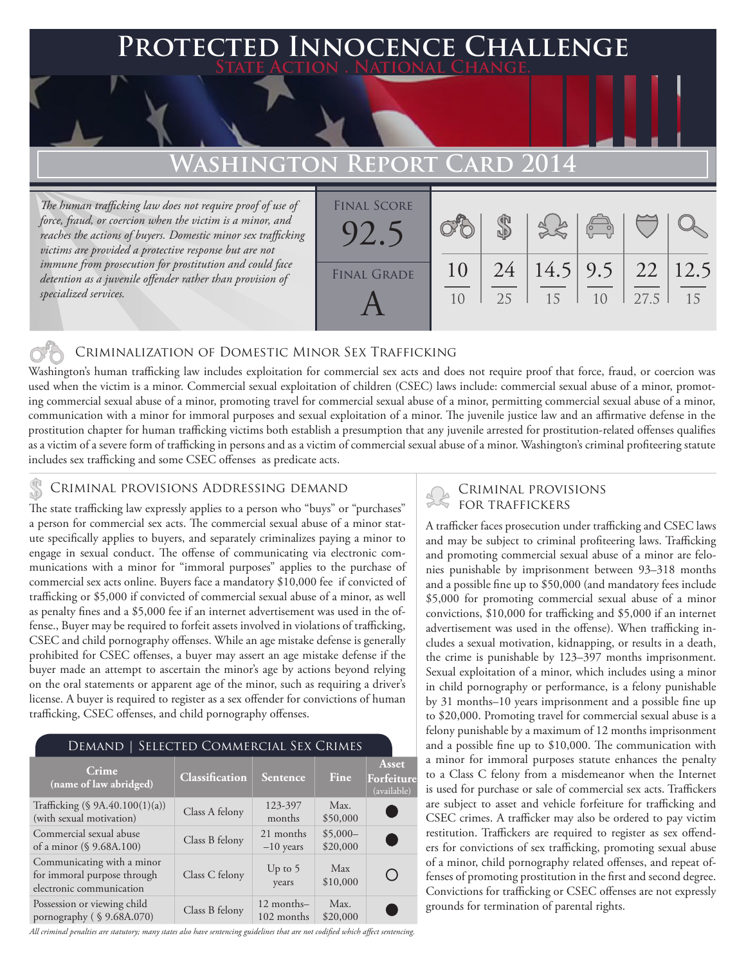# **FED INNOCENCE CHALLENGE State Action . National Change.**

## **Washington Report Card 2014**

*The human trafficking law does not require proof of use of force, fraud, or coercion when the victim is a minor, and reaches the actions of buyers. Domestic minor sex trafficking victims are provided a protective response but are not immune from prosecution for prostitution and could face detention as a juvenile offender rather than provision of specialized services.* 

| <b>FINAL SCORE</b><br>92 |    |          | 381                            | $\sqrt{2}$ |      |     |
|--------------------------|----|----------|--------------------------------|------------|------|-----|
| <b>FINAL GRADE</b>       | 10 | 24<br>25 | $14.5$   9.5   22   12.5<br>15 | 10         | 27.5 | 1.5 |

### Criminalization of Domestic Minor Sex Trafficking

Washington's human trafficking law includes exploitation for commercial sex acts and does not require proof that force, fraud, or coercion was used when the victim is a minor. Commercial sexual exploitation of children (CSEC) laws include: commercial sexual abuse of a minor, promoting commercial sexual abuse of a minor, promoting travel for commercial sexual abuse of a minor, permitting commercial sexual abuse of a minor, communication with a minor for immoral purposes and sexual exploitation of a minor. The juvenile justice law and an affirmative defense in the prostitution chapter for human trafficking victims both establish a presumption that any juvenile arrested for prostitution-related offenses qualifies as a victim of a severe form of trafficking in persons and as a victim of commercial sexual abuse of a minor. Washington's criminal profiteering statute includes sex trafficking and some CSEC offenses as predicate acts.

#### Criminal provisions Addressing demand

The state trafficking law expressly applies to a person who "buys" or "purchases" a person for commercial sex acts. The commercial sexual abuse of a minor statute specifically applies to buyers, and separately criminalizes paying a minor to engage in sexual conduct. The offense of communicating via electronic communications with a minor for "immoral purposes" applies to the purchase of commercial sex acts online. Buyers face a mandatory \$10,000 fee if convicted of trafficking or \$5,000 if convicted of commercial sexual abuse of a minor, as well as penalty fines and a \$5,000 fee if an internet advertisement was used in the offense., Buyer may be required to forfeit assets involved in violations of trafficking, CSEC and child pornography offenses. While an age mistake defense is generally prohibited for CSEC offenses, a buyer may assert an age mistake defense if the buyer made an attempt to ascertain the minor's age by actions beyond relying on the oral statements or apparent age of the minor, such as requiring a driver's license. A buyer is required to register as a sex offender for convictions of human trafficking, CSEC offenses, and child pornography offenses.

| SELECTED COMMERCIAL SEX CRIMES<br>Demand                                              |                |                          |                       |                                    |  |  |  |  |
|---------------------------------------------------------------------------------------|----------------|--------------------------|-----------------------|------------------------------------|--|--|--|--|
| Crime<br>(name of law abridged)                                                       | Classification | Sentence                 | Fine                  | Asset<br>Forfeiture<br>(available) |  |  |  |  |
| Trafficking $(\S$ 9A.40.100(1)(a))<br>(with sexual motivation)                        | Class A felony | 123-397<br>months        | Max.<br>\$50,000      |                                    |  |  |  |  |
| Commercial sexual abuse<br>of a minor (§ 9.68A.100)                                   | Class B felony | 21 months<br>$-10$ years | $$5,000-$<br>\$20,000 |                                    |  |  |  |  |
| Communicating with a minor<br>for immoral purpose through<br>electronic communication | Class C felony | Up to $5$<br>years       | Max<br>\$10,000       |                                    |  |  |  |  |
| Possession or viewing child<br>pornography (§9.68A.070)                               | Class B felony | 12 months-<br>102 months | Max.<br>\$20,000      |                                    |  |  |  |  |

*All criminal penalties are statutory; many states also have sentencing guidelines that are not codified which affect sentencing.* 

### Criminal provisions FOR TRAFFICKERS

A trafficker faces prosecution under trafficking and CSEC laws and may be subject to criminal profiteering laws. Trafficking and promoting commercial sexual abuse of a minor are felonies punishable by imprisonment between 93–318 months and a possible fine up to \$50,000 (and mandatory fees include \$5,000 for promoting commercial sexual abuse of a minor convictions, \$10,000 for trafficking and \$5,000 if an internet advertisement was used in the offense). When trafficking includes a sexual motivation, kidnapping, or results in a death, the crime is punishable by 123–397 months imprisonment. Sexual exploitation of a minor, which includes using a minor in child pornography or performance, is a felony punishable by 31 months–10 years imprisonment and a possible fine up to \$20,000. Promoting travel for commercial sexual abuse is a felony punishable by a maximum of 12 months imprisonment and a possible fine up to \$10,000. The communication with a minor for immoral purposes statute enhances the penalty to a Class C felony from a misdemeanor when the Internet is used for purchase or sale of commercial sex acts. Traffickers are subject to asset and vehicle forfeiture for trafficking and CSEC crimes. A trafficker may also be ordered to pay victim restitution. Traffickers are required to register as sex offenders for convictions of sex trafficking, promoting sexual abuse of a minor, child pornography related offenses, and repeat offenses of promoting prostitution in the first and second degree. Convictions for trafficking or CSEC offenses are not expressly grounds for termination of parental rights.